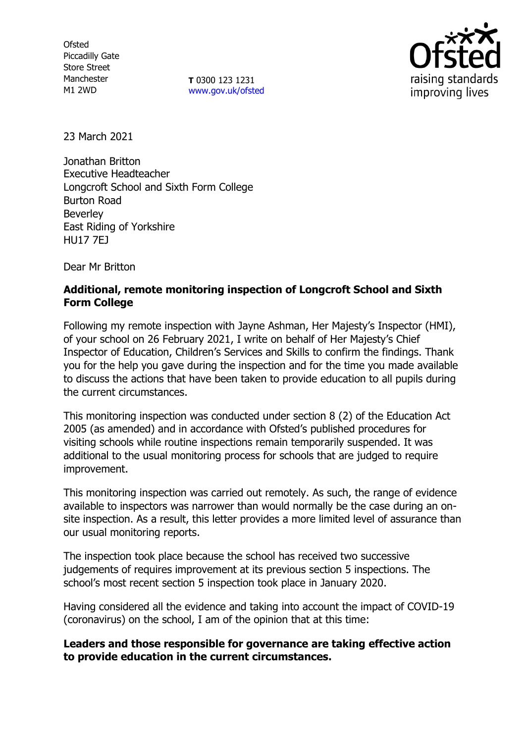**Ofsted** Piccadilly Gate Store Street Manchester M1 2WD

**T** 0300 123 1231 [www.gov.uk/ofsted](http://www.gov.uk/ofsted)



23 March 2021

Jonathan Britton Executive Headteacher Longcroft School and Sixth Form College Burton Road Beverley East Riding of Yorkshire HU17 7EJ

Dear Mr Britton

# **Additional, remote monitoring inspection of Longcroft School and Sixth Form College**

Following my remote inspection with Jayne Ashman, Her Majesty's Inspector (HMI), of your school on 26 February 2021, I write on behalf of Her Majesty's Chief Inspector of Education, Children's Services and Skills to confirm the findings. Thank you for the help you gave during the inspection and for the time you made available to discuss the actions that have been taken to provide education to all pupils during the current circumstances.

This monitoring inspection was conducted under section 8 (2) of the Education Act 2005 (as amended) and in accordance with Ofsted's published procedures for visiting schools while routine inspections remain temporarily suspended. It was additional to the usual monitoring process for schools that are judged to require improvement.

This monitoring inspection was carried out remotely. As such, the range of evidence available to inspectors was narrower than would normally be the case during an onsite inspection. As a result, this letter provides a more limited level of assurance than our usual monitoring reports.

The inspection took place because the school has received two successive judgements of requires improvement at its previous section 5 inspections. The school's most recent section 5 inspection took place in January 2020.

Having considered all the evidence and taking into account the impact of COVID-19 (coronavirus) on the school, I am of the opinion that at this time:

## **Leaders and those responsible for governance are taking effective action to provide education in the current circumstances.**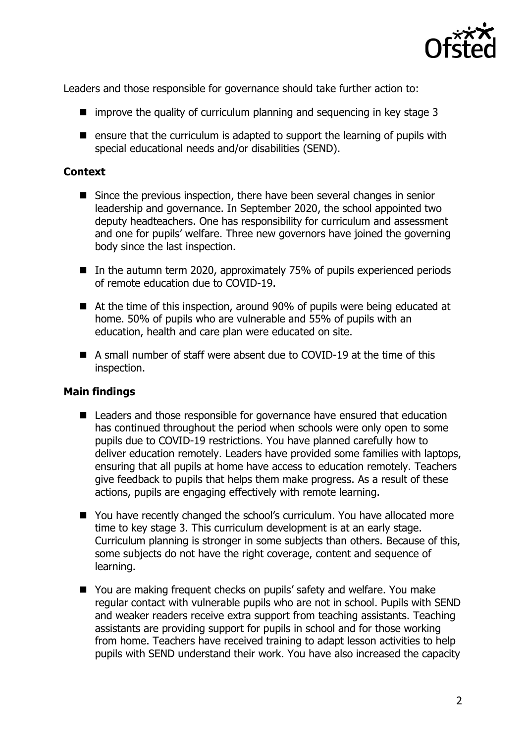

Leaders and those responsible for governance should take further action to:

- $\blacksquare$  improve the quality of curriculum planning and sequencing in key stage 3
- **E** ensure that the curriculum is adapted to support the learning of pupils with special educational needs and/or disabilities (SEND).

# **Context**

- Since the previous inspection, there have been several changes in senior leadership and governance. In September 2020, the school appointed two deputy headteachers. One has responsibility for curriculum and assessment and one for pupils' welfare. Three new governors have joined the governing body since the last inspection.
- In the autumn term 2020, approximately 75% of pupils experienced periods of remote education due to COVID-19.
- At the time of this inspection, around 90% of pupils were being educated at home. 50% of pupils who are vulnerable and 55% of pupils with an education, health and care plan were educated on site.
- A small number of staff were absent due to COVID-19 at the time of this inspection.

## **Main findings**

- Leaders and those responsible for governance have ensured that education has continued throughout the period when schools were only open to some pupils due to COVID-19 restrictions. You have planned carefully how to deliver education remotely. Leaders have provided some families with laptops, ensuring that all pupils at home have access to education remotely. Teachers give feedback to pupils that helps them make progress. As a result of these actions, pupils are engaging effectively with remote learning.
- You have recently changed the school's curriculum. You have allocated more time to key stage 3. This curriculum development is at an early stage. Curriculum planning is stronger in some subjects than others. Because of this, some subjects do not have the right coverage, content and sequence of learning.
- You are making frequent checks on pupils' safety and welfare. You make regular contact with vulnerable pupils who are not in school. Pupils with SEND and weaker readers receive extra support from teaching assistants. Teaching assistants are providing support for pupils in school and for those working from home. Teachers have received training to adapt lesson activities to help pupils with SEND understand their work. You have also increased the capacity